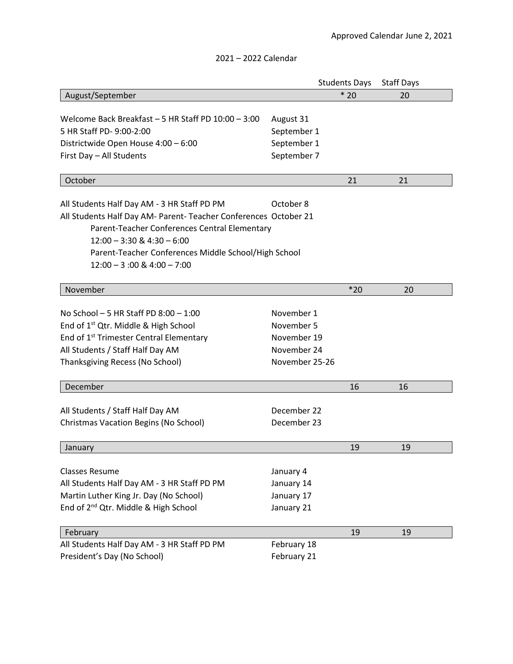|                                                                  |                                | <b>Students Days</b> | <b>Staff Days</b> |  |  |  |
|------------------------------------------------------------------|--------------------------------|----------------------|-------------------|--|--|--|
| August/September                                                 |                                | $*20$                | 20                |  |  |  |
|                                                                  |                                |                      |                   |  |  |  |
| Welcome Back Breakfast - 5 HR Staff PD 10:00 - 3:00              | August 31                      |                      |                   |  |  |  |
| 5 HR Staff PD- 9:00-2:00                                         | September 1                    |                      |                   |  |  |  |
| Districtwide Open House 4:00 - 6:00                              | September 1                    |                      |                   |  |  |  |
| First Day - All Students                                         | September 7                    |                      |                   |  |  |  |
|                                                                  |                                |                      |                   |  |  |  |
| October                                                          |                                | 21                   | 21                |  |  |  |
|                                                                  |                                |                      |                   |  |  |  |
| All Students Half Day AM - 3 HR Staff PD PM                      | October 8                      |                      |                   |  |  |  |
| All Students Half Day AM- Parent- Teacher Conferences October 21 |                                |                      |                   |  |  |  |
| Parent-Teacher Conferences Central Elementary                    |                                |                      |                   |  |  |  |
|                                                                  | $12:00 - 3:30$ & $4:30 - 6:00$ |                      |                   |  |  |  |
| Parent-Teacher Conferences Middle School/High School             |                                |                      |                   |  |  |  |
| $12:00 - 3:00$ & $4:00 - 7:00$                                   |                                |                      |                   |  |  |  |
| November                                                         |                                | $*20$                | 20                |  |  |  |
|                                                                  |                                |                      |                   |  |  |  |
| No School $-5$ HR Staff PD 8:00 $-1:00$                          | November 1                     |                      |                   |  |  |  |
| End of 1 <sup>st</sup> Qtr. Middle & High School                 | November 5                     |                      |                   |  |  |  |
| End of 1 <sup>st</sup> Trimester Central Elementary              | November 19                    |                      |                   |  |  |  |
| All Students / Staff Half Day AM                                 | November 24                    |                      |                   |  |  |  |
| Thanksgiving Recess (No School)                                  | November 25-26                 |                      |                   |  |  |  |
|                                                                  |                                |                      |                   |  |  |  |
| December                                                         |                                | 16                   | 16                |  |  |  |
|                                                                  |                                |                      |                   |  |  |  |
| All Students / Staff Half Day AM                                 | December 22                    |                      |                   |  |  |  |
| Christmas Vacation Begins (No School)                            | December 23                    |                      |                   |  |  |  |
| January                                                          |                                | 19                   | 19                |  |  |  |
|                                                                  |                                |                      |                   |  |  |  |
| <b>Classes Resume</b>                                            | January 4                      |                      |                   |  |  |  |
| All Students Half Day AM - 3 HR Staff PD PM                      | January 14                     |                      |                   |  |  |  |
| Martin Luther King Jr. Day (No School)                           | January 17                     |                      |                   |  |  |  |
| End of 2 <sup>nd</sup> Qtr. Middle & High School                 | January 21                     |                      |                   |  |  |  |
|                                                                  |                                |                      |                   |  |  |  |
| February                                                         |                                | 19                   | 19                |  |  |  |
| All Students Half Day AM - 3 HR Staff PD PM                      | February 18                    |                      |                   |  |  |  |
| President's Day (No School)                                      | February 21                    |                      |                   |  |  |  |

## 2021 – 2022 Calendar